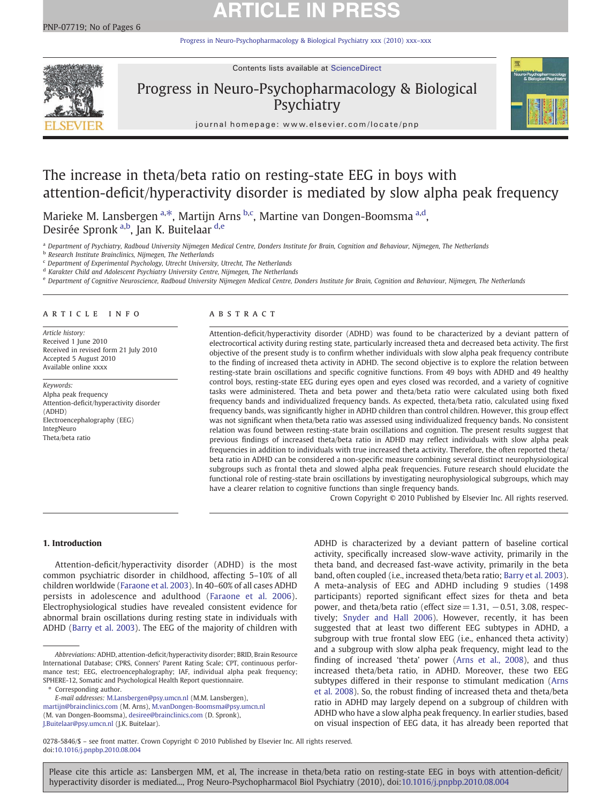# **ARTICLE IN PRE**

[Progress in Neuro-Psychopharmacology & Biological Psychiatry xxx \(2010\) xxx](http://dx.doi.org/10.1016/j.pnpbp.2010.08.004)–xxx



Contents lists available at ScienceDirect

## Progress in Neuro-Psychopharmacology & Biological Psychiatry



journal homepage: www.elsevier.com/locate/pnp

## The increase in theta/beta ratio on resting-state EEG in boys with attention-deficit/hyperactivity disorder is mediated by slow alpha peak frequency

Marieke M. Lansbergen <sup>a,\*</sup>, Martijn Arns <sup>b,c</sup>, Martine van Dongen-Boomsma <sup>a,d</sup>, Desirée Spronk <sup>a,b</sup>, Jan K. Buitelaar <sup>d,e</sup>

a Department of Psychiatry, Radboud University Nijmegen Medical Centre, Donders Institute for Brain, Cognition and Behaviour, Nijmegen, The Netherlands

**b** Research Institute Brainclinics, Nijmegen, The Netherlands

 $c$  Department of Experimental Psychology, Utrecht University, Utrecht, The Netherlands

<sup>d</sup> Karakter Child and Adolescent Psychiatry University Centre, Nijmegen, The Netherlands

<sup>e</sup> Department of Cognitive Neuroscience, Radboud University Nijmegen Medical Centre, Donders Institute for Brain, Cognition and Behaviour, Nijmegen, The Netherlands

### article info abstract

Article history: Received 1 June 2010 Received in revised form 21 July 2010 Accepted 5 August 2010 Available online xxxx

Keywords: Alpha peak frequency Attention-deficit/hyperactivity disorder (ADHD) Electroencephalography (EEG) IntegNeuro Theta/beta ratio

Attention-deficit/hyperactivity disorder (ADHD) was found to be characterized by a deviant pattern of electrocortical activity during resting state, particularly increased theta and decreased beta activity. The first objective of the present study is to confirm whether individuals with slow alpha peak frequency contribute to the finding of increased theta activity in ADHD. The second objective is to explore the relation between resting-state brain oscillations and specific cognitive functions. From 49 boys with ADHD and 49 healthy control boys, resting-state EEG during eyes open and eyes closed was recorded, and a variety of cognitive tasks were administered. Theta and beta power and theta/beta ratio were calculated using both fixed frequency bands and individualized frequency bands. As expected, theta/beta ratio, calculated using fixed frequency bands, was significantly higher in ADHD children than control children. However, this group effect was not significant when theta/beta ratio was assessed using individualized frequency bands. No consistent relation was found between resting-state brain oscillations and cognition. The present results suggest that previous findings of increased theta/beta ratio in ADHD may reflect individuals with slow alpha peak frequencies in addition to individuals with true increased theta activity. Therefore, the often reported theta/ beta ratio in ADHD can be considered a non-specific measure combining several distinct neurophysiological subgroups such as frontal theta and slowed alpha peak frequencies. Future research should elucidate the functional role of resting-state brain oscillations by investigating neurophysiological subgroups, which may have a clearer relation to cognitive functions than single frequency bands.

Crown Copyright © 2010 Published by Elsevier Inc. All rights reserved.

### 1. Introduction

Attention-deficit/hyperactivity disorder (ADHD) is the most common psychiatric disorder in childhood, affecting 5–10% of all children worldwide ([Faraone et al. 2003](#page-5-0)). In 40–60% of all cases ADHD persists in adolescence and adulthood [\(Faraone et al. 2006](#page-5-0)). Electrophysiological studies have revealed consistent evidence for abnormal brain oscillations during resting state in individuals with ADHD [\(Barry et al. 2003](#page-5-0)). The EEG of the majority of children with

Corresponding author.

[martijn@brainclinics.com](mailto:martijn@brainclinics.com) (M. Arns), [M.vanDongen-Boomsma@psy.umcn.nl](mailto:M.vanDongen-Boomsma@psy.umcn.nl) (M. van Dongen-Boomsma), [desiree@brainclinics.com](mailto:desiree@brainclinics.com) (D. Spronk),

[J.Buitelaar@psy.umcn.nl](mailto:J.Buitelaar@psy.umcn.nl) (J.K. Buitelaar).

ADHD is characterized by a deviant pattern of baseline cortical activity, specifically increased slow-wave activity, primarily in the theta band, and decreased fast-wave activity, primarily in the beta band, often coupled (i.e., increased theta/beta ratio; [Barry et al. 2003](#page-5-0)). A meta-analysis of EEG and ADHD including 9 studies (1498 participants) reported significant effect sizes for theta and beta power, and theta/beta ratio (effect size =  $1.31, -0.51, 3.08$ , respectively; [Snyder and Hall 2006](#page-5-0)). However, recently, it has been suggested that at least two different EEG subtypes in ADHD, a subgroup with true frontal slow EEG (i.e., enhanced theta activity) and a subgroup with slow alpha peak frequency, might lead to the finding of increased 'theta' power [\(Arns et al., 2008](#page-5-0)), and thus increased theta/beta ratio, in ADHD. Moreover, these two EEG subtypes differed in their response to stimulant medication ([Arns](#page-5-0) [et al. 2008](#page-5-0)). So, the robust finding of increased theta and theta/beta ratio in ADHD may largely depend on a subgroup of children with ADHD who have a slow alpha peak frequency. In earlier studies, based on visual inspection of EEG data, it has already been reported that

0278-5846/\$ – see front matter. Crown Copyright © 2010 Published by Elsevier Inc. All rights reserved. doi:[10.1016/j.pnpbp.2010.08.004](http://dx.doi.org/10.1016/j.pnpbp.2010.08.004)

Abbreviations: ADHD, attention-deficit/hyperactivity disorder; BRID, Brain Resource International Database; CPRS, Conners' Parent Rating Scale; CPT, continuous performance test; EEG, electroencephalography; IAF, individual alpha peak frequency; SPHERE-12, Somatic and Psychological Health Report questionnaire.

E-mail addresses: [M.Lansbergen@psy.umcn.nl](mailto:M.Lansbergen@psy.umcn.nl) (M.M. Lansbergen),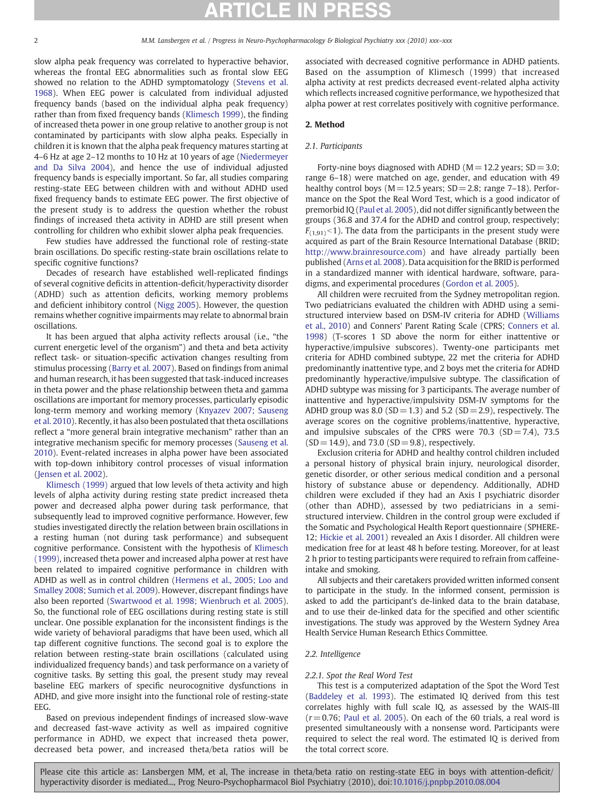slow alpha peak frequency was correlated to hyperactive behavior, whereas the frontal EEG abnormalities such as frontal slow EEG showed no relation to the ADHD symptomatology ([Stevens et al.](#page-5-0) [1968\)](#page-5-0). When EEG power is calculated from individual adjusted frequency bands (based on the individual alpha peak frequency) rather than from fixed frequency bands ([Klimesch 1999](#page-5-0)), the finding of increased theta power in one group relative to another group is not contaminated by participants with slow alpha peaks. Especially in children it is known that the alpha peak frequency matures starting at 4–6 Hz at age 2–12 months to 10 Hz at 10 years of age [\(Niedermeyer](#page-5-0) [and Da Silva 2004](#page-5-0)), and hence the use of individual adjusted frequency bands is especially important. So far, all studies comparing resting-state EEG between children with and without ADHD used fixed frequency bands to estimate EEG power. The first objective of the present study is to address the question whether the robust findings of increased theta activity in ADHD are still present when controlling for children who exhibit slower alpha peak frequencies.

Few studies have addressed the functional role of resting-state brain oscillations. Do specific resting-state brain oscillations relate to specific cognitive functions?

Decades of research have established well-replicated findings of several cognitive deficits in attention-deficit/hyperactivity disorder (ADHD) such as attention deficits, working memory problems and deficient inhibitory control [\(Nigg 2005](#page-5-0)). However, the question remains whether cognitive impairments may relate to abnormal brain oscillations.

It has been argued that alpha activity reflects arousal (i.e., "the current energetic level of the organism") and theta and beta activity reflect task- or situation-specific activation changes resulting from stimulus processing ([Barry et al. 2007\)](#page-5-0). Based on findings from animal and human research, it has been suggested that task-induced increases in theta power and the phase relationship between theta and gamma oscillations are important for memory processes, particularly episodic long-term memory and working memory ([Knyazev 2007; Sauseng](#page-5-0) [et al. 2010](#page-5-0)). Recently, it has also been postulated that theta oscillations reflect a "more general brain integrative mechanism" rather than an integrative mechanism specific for memory processes [\(Sauseng et al.](#page-5-0) [2010\)](#page-5-0). Event-related increases in alpha power have been associated with top-down inhibitory control processes of visual information [\(Jensen et al. 2002](#page-5-0)).

[Klimesch \(1999\)](#page-5-0) argued that low levels of theta activity and high levels of alpha activity during resting state predict increased theta power and decreased alpha power during task performance, that subsequently lead to improved cognitive performance. However, few studies investigated directly the relation between brain oscillations in a resting human (not during task performance) and subsequent cognitive performance. Consistent with the hypothesis of [Klimesch](#page-5-0) [\(1999\),](#page-5-0) increased theta power and increased alpha power at rest have been related to impaired cognitive performance in children with ADHD as well as in control children [\(Hermens et al., 2005; Loo and](#page-5-0) [Smalley 2008; Sumich et al. 2009\)](#page-5-0). However, discrepant findings have also been reported ([Swartwood et al. 1998; Wienbruch et al. 2005](#page-5-0)). So, the functional role of EEG oscillations during resting state is still unclear. One possible explanation for the inconsistent findings is the wide variety of behavioral paradigms that have been used, which all tap different cognitive functions. The second goal is to explore the relation between resting-state brain oscillations (calculated using individualized frequency bands) and task performance on a variety of cognitive tasks. By setting this goal, the present study may reveal baseline EEG markers of specific neurocognitive dysfunctions in ADHD, and give more insight into the functional role of resting-state EEG.

Based on previous independent findings of increased slow-wave and decreased fast-wave activity as well as impaired cognitive performance in ADHD, we expect that increased theta power, decreased beta power, and increased theta/beta ratios will be associated with decreased cognitive performance in ADHD patients. Based on the assumption of Klimesch (1999) that increased alpha activity at rest predicts decreased event-related alpha activity which reflects increased cognitive performance, we hypothesized that alpha power at rest correlates positively with cognitive performance.

### 2. Method

#### 2.1. Participants

Forty-nine boys diagnosed with ADHD ( $M = 12.2$  years; SD = 3.0; range 6–18) were matched on age, gender, and education with 49 healthy control boys ( $M = 12.5$  years;  $SD = 2.8$ ; range 7-18). Performance on the Spot the Real Word Test, which is a good indicator of premorbid IQ ([Paul et al. 2005](#page-5-0)), did not differ significantly between the groups (36.8 and 37.4 for the ADHD and control group, respectively;  $F_{(1,91)}$ <1). The data from the participants in the present study were acquired as part of the Brain Resource International Database (BRID; <http://www.brainresource.com>) and have already partially been published [\(Arns et al. 2008\)](#page-5-0). Data acquisition for the BRID is performed in a standardized manner with identical hardware, software, paradigms, and experimental procedures [\(Gordon et al. 2005\)](#page-5-0).

All children were recruited from the Sydney metropolitan region. Two pediatricians evaluated the children with ADHD using a semistructured interview based on DSM-IV criteria for ADHD [\(Williams](#page-5-0) [et al., 2010\)](#page-5-0) and Conners' Parent Rating Scale (CPRS; [Conners et al.](#page-5-0) [1998\)](#page-5-0) (T-scores 1 SD above the norm for either inattentive or hyperactive/impulsive subscores). Twenty-one participants met criteria for ADHD combined subtype, 22 met the criteria for ADHD predominantly inattentive type, and 2 boys met the criteria for ADHD predominantly hyperactive/impulsive subtype. The classification of ADHD subtype was missing for 3 participants. The average number of inattentive and hyperactive/impulsivity DSM-IV symptoms for the ADHD group was 8.0 ( $SD = 1.3$ ) and 5.2 ( $SD = 2.9$ ), respectively. The average scores on the cognitive problems/inattentive, hyperactive, and impulsive subscales of the CPRS were 70.3  $(SD = 7.4)$ , 73.5  $(SD = 14.9)$ , and 73.0  $(SD = 9.8)$ , respectively.

Exclusion criteria for ADHD and healthy control children included a personal history of physical brain injury, neurological disorder, genetic disorder, or other serious medical condition and a personal history of substance abuse or dependency. Additionally, ADHD children were excluded if they had an Axis I psychiatric disorder (other than ADHD), assessed by two pediatricians in a semistructured interview. Children in the control group were excluded if the Somatic and Psychological Health Report questionnaire (SPHERE-12; [Hickie et al. 2001](#page-5-0)) revealed an Axis I disorder. All children were medication free for at least 48 h before testing. Moreover, for at least 2 h prior to testing participants were required to refrain from caffeineintake and smoking.

All subjects and their caretakers provided written informed consent to participate in the study. In the informed consent, permission is asked to add the participant's de-linked data to the brain database, and to use their de-linked data for the specified and other scientific investigations. The study was approved by the Western Sydney Area Health Service Human Research Ethics Committee.

#### 2.2. Intelligence

#### 2.2.1. Spot the Real Word Test

This test is a computerized adaptation of the Spot the Word Test [\(Baddeley et al. 1993\)](#page-5-0). The estimated IQ derived from this test correlates highly with full scale IQ, as assessed by the WAIS-III  $(r= 0.76;$  [Paul et al. 2005](#page-5-0)). On each of the 60 trials, a real word is presented simultaneously with a nonsense word. Participants were required to select the real word. The estimated IQ is derived from the total correct score.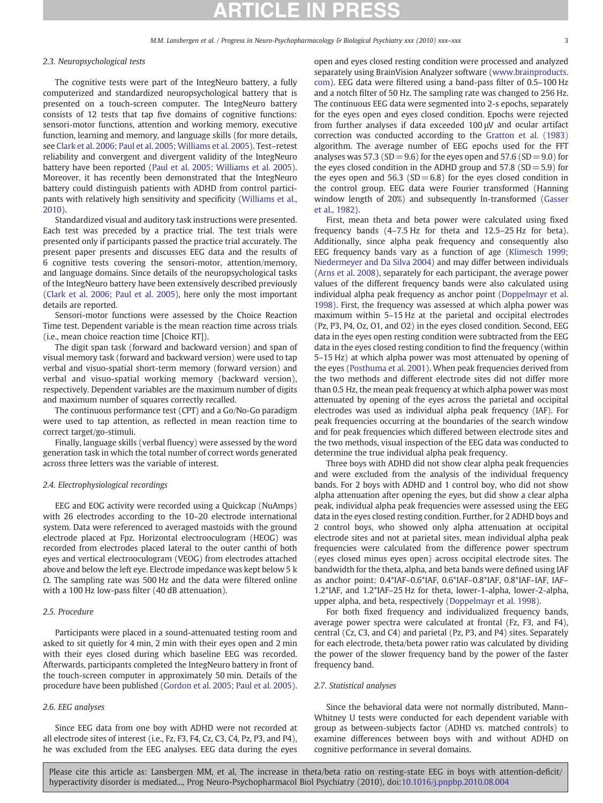### 2.3. Neuropsychological tests

The cognitive tests were part of the IntegNeuro battery, a fully computerized and standardized neuropsychological battery that is presented on a touch-screen computer. The IntegNeuro battery consists of 12 tests that tap five domains of cognitive functions: sensori-motor functions, attention and working memory, executive function, learning and memory, and language skills (for more details, see [Clark et al. 2006; Paul et al. 2005; Williams et al. 2005](#page-5-0)). Test–retest reliability and convergent and divergent validity of the IntegNeuro battery have been reported [\(Paul et al. 2005; Williams et al. 2005](#page-5-0)). Moreover, it has recently been demonstrated that the IntegNeuro battery could distinguish patients with ADHD from control participants with relatively high sensitivity and specificity ([Williams et al.,](#page-5-0) [2010\)](#page-5-0).

Standardized visual and auditory task instructions were presented. Each test was preceded by a practice trial. The test trials were presented only if participants passed the practice trial accurately. The present paper presents and discusses EEG data and the results of 6 cognitive tests covering the sensori-motor, attention/memory, and language domains. Since details of the neuropsychological tasks of the IntegNeuro battery have been extensively described previously [\(Clark et al. 2006; Paul et al. 2005\)](#page-5-0), here only the most important details are reported.

Sensori-motor functions were assessed by the Choice Reaction Time test. Dependent variable is the mean reaction time across trials (i.e., mean choice reaction time [Choice RT]).

The digit span task (forward and backward version) and span of visual memory task (forward and backward version) were used to tap verbal and visuo-spatial short-term memory (forward version) and verbal and visuo-spatial working memory (backward version), respectively. Dependent variables are the maximum number of digits and maximum number of squares correctly recalled.

The continuous performance test (CPT) and a Go/No-Go paradigm were used to tap attention, as reflected in mean reaction time to correct target/go-stimuli.

Finally, language skills (verbal fluency) were assessed by the word generation task in which the total number of correct words generated across three letters was the variable of interest.

#### 2.4. Electrophysiological recordings

EEG and EOG activity were recorded using a Quickcap (NuAmps) with 26 electrodes according to the 10–20 electrode international system. Data were referenced to averaged mastoids with the ground electrode placed at Fpz. Horizontal electrooculogram (HEOG) was recorded from electrodes placed lateral to the outer canthi of both eyes and vertical electrooculogram (VEOG) from electrodes attached above and below the left eye. Electrode impedance was kept below 5 k Ω. The sampling rate was 500 Hz and the data were filtered online with a 100 Hz low-pass filter (40 dB attenuation).

#### 2.5. Procedure

Participants were placed in a sound-attenuated testing room and asked to sit quietly for 4 min, 2 min with their eyes open and 2 min with their eyes closed during which baseline EEG was recorded. Afterwards, participants completed the IntegNeuro battery in front of the touch-screen computer in approximately 50 min. Details of the procedure have been published ([Gordon et al. 2005; Paul et al. 2005](#page-5-0)).

### 2.6. EEG analyses

Since EEG data from one boy with ADHD were not recorded at all electrode sites of interest (i.e., Fz, F3, F4, Cz, C3, C4, Pz, P3, and P4), he was excluded from the EEG analyses. EEG data during the eyes

open and eyes closed resting condition were processed and analyzed separately using BrainVision Analyzer software ([www.brainproducts.](http://www.brainproducts.com) [com\)](http://www.brainproducts.com). EEG data were filtered using a band-pass filter of 0.5–100 Hz and a notch filter of 50 Hz. The sampling rate was changed to 256 Hz. The continuous EEG data were segmented into 2-s epochs, separately for the eyes open and eyes closed condition. Epochs were rejected from further analyses if data exceeded 100 μV and ocular artifact correction was conducted according to the [Gratton et al. \(1983\)](#page-5-0) algorithm. The average number of EEG epochs used for the FFT analyses was 57.3 (SD = 9.6) for the eyes open and 57.6 (SD = 9.0) for the eyes closed condition in the ADHD group and  $57.8$  (SD  $= 5.9$ ) for the eyes open and 56.3 ( $SD = 6.8$ ) for the eyes closed condition in the control group. EEG data were Fourier transformed (Hanning window length of 20%) and subsequently ln-transformed ([Gasser](#page-5-0) [et al., 1982\)](#page-5-0).

First, mean theta and beta power were calculated using fixed frequency bands (4–7.5 Hz for theta and 12.5–25 Hz for beta). Additionally, since alpha peak frequency and consequently also EEG frequency bands vary as a function of age [\(Klimesch 1999;](#page-5-0) [Niedermeyer and Da Silva 2004\)](#page-5-0) and may differ between individuals [\(Arns et al. 2008](#page-5-0)), separately for each participant, the average power values of the different frequency bands were also calculated using individual alpha peak frequency as anchor point ([Doppelmayr et al.](#page-5-0) [1998\)](#page-5-0). First, the frequency was assessed at which alpha power was maximum within 5–15 Hz at the parietal and occipital electrodes (Pz, P3, P4, Oz, O1, and O2) in the eyes closed condition. Second, EEG data in the eyes open resting condition were subtracted from the EEG data in the eyes closed resting condition to find the frequency (within 5–15 Hz) at which alpha power was most attenuated by opening of the eyes ([Posthuma et al. 2001\)](#page-5-0). When peak frequencies derived from the two methods and different electrode sites did not differ more than 0.5 Hz, the mean peak frequency at which alpha power was most attenuated by opening of the eyes across the parietal and occipital electrodes was used as individual alpha peak frequency (IAF). For peak frequencies occurring at the boundaries of the search window and for peak frequencies which differed between electrode sites and the two methods, visual inspection of the EEG data was conducted to determine the true individual alpha peak frequency.

Three boys with ADHD did not show clear alpha peak frequencies and were excluded from the analysis of the individual frequency bands. For 2 boys with ADHD and 1 control boy, who did not show alpha attenuation after opening the eyes, but did show a clear alpha peak, individual alpha peak frequencies were assessed using the EEG data in the eyes closed resting condition. Further, for 2 ADHD boys and 2 control boys, who showed only alpha attenuation at occipital electrode sites and not at parietal sites, mean individual alpha peak frequencies were calculated from the difference power spectrum (eyes closed minus eyes open) across occipital electrode sites. The bandwidth for the theta, alpha, and beta bands were defined using IAF as anchor point: 0.4\*IAF–0.6\*IAF, 0.6\*IAF–0.8\*IAF, 0.8\*IAF–IAF, IAF– 1.2\*IAF, and 1.2\*IAF–25 Hz for theta, lower-1-alpha, lower-2-alpha, upper alpha, and beta, respectively [\(Doppelmayr et al. 1998\)](#page-5-0).

For both fixed frequency and individualized frequency bands, average power spectra were calculated at frontal (Fz, F3, and F4), central (Cz, C3, and C4) and parietal (Pz, P3, and P4) sites. Separately for each electrode, theta/beta power ratio was calculated by dividing the power of the slower frequency band by the power of the faster frequency band.

#### 2.7. Statistical analyses

Since the behavioral data were not normally distributed, Mann– Whitney U tests were conducted for each dependent variable with group as between-subjects factor (ADHD vs. matched controls) to examine differences between boys with and without ADHD on cognitive performance in several domains.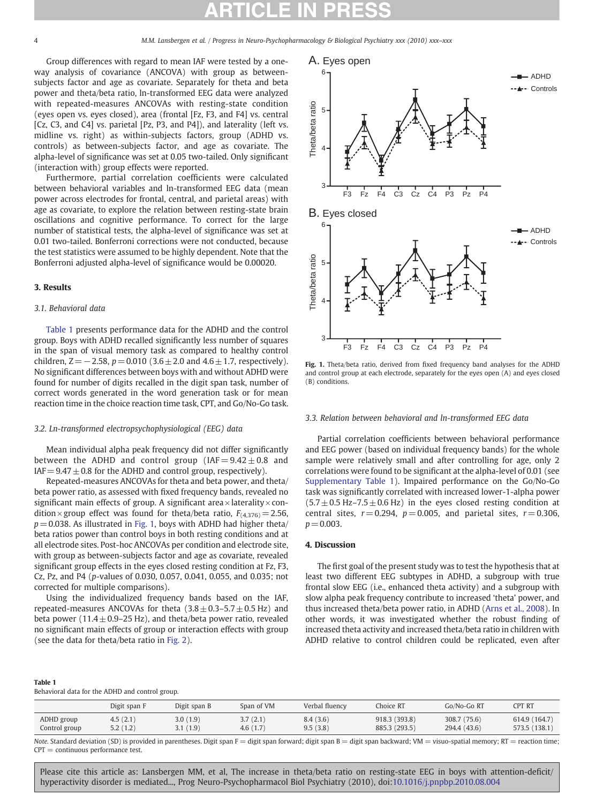Group differences with regard to mean IAF were tested by a oneway analysis of covariance (ANCOVA) with group as betweensubjects factor and age as covariate. Separately for theta and beta power and theta/beta ratio, ln-transformed EEG data were analyzed with repeated-measures ANCOVAs with resting-state condition (eyes open vs. eyes closed), area (frontal [Fz, F3, and F4] vs. central [Cz, C3, and C4] vs. parietal [Pz, P3, and P4]), and laterality (left vs. midline vs. right) as within-subjects factors, group (ADHD vs. controls) as between-subjects factor, and age as covariate. The alpha-level of significance was set at 0.05 two-tailed. Only significant (interaction with) group effects were reported.

Furthermore, partial correlation coefficients were calculated between behavioral variables and ln-transformed EEG data (mean power across electrodes for frontal, central, and parietal areas) with age as covariate, to explore the relation between resting-state brain oscillations and cognitive performance. To correct for the large number of statistical tests, the alpha-level of significance was set at 0.01 two-tailed. Bonferroni corrections were not conducted, because the test statistics were assumed to be highly dependent. Note that the Bonferroni adjusted alpha-level of significance would be 0.00020.

#### 3. Results

### 3.1. Behavioral data

Table 1 presents performance data for the ADHD and the control group. Boys with ADHD recalled significantly less number of squares in the span of visual memory task as compared to healthy control children,  $Z = -2.58$ ,  $p = 0.010$  (3.6 ± 2.0 and 4.6 ± 1.7, respectively). No significant differences between boys with and without ADHD were found for number of digits recalled in the digit span task, number of correct words generated in the word generation task or for mean reaction time in the choice reaction time task, CPT, and Go/No-Go task.

#### 3.2. Ln-transformed electropsychophysiological (EEG) data

Mean individual alpha peak frequency did not differ significantly between the ADHD and control group (IAF  $= 9.42 \pm 0.8$  and  $IAF = 9.47 \pm 0.8$  for the ADHD and control group, respectively).

Repeated-measures ANCOVAs for theta and beta power, and theta/ beta power ratio, as assessed with fixed frequency bands, revealed no significant main effects of group. A significant area $\times$ laterality $\times$ condition × group effect was found for theta/beta ratio,  $F_{(4,376)} = 2.56$ ,  $p = 0.038$ . As illustrated in Fig. 1, boys with ADHD had higher theta/ beta ratios power than control boys in both resting conditions and at all electrode sites. Post-hoc ANCOVAs per condition and electrode site, with group as between-subjects factor and age as covariate, revealed significant group effects in the eyes closed resting condition at Fz, F3, Cz, Pz, and P4 (p-values of 0.030, 0.057, 0.041, 0.055, and 0.035; not corrected for multiple comparisons).

Using the individualized frequency bands based on the IAF, repeated-measures ANCOVAs for theta  $(3.8 \pm 0.3 - 5.7 \pm 0.5 \text{ Hz})$  and beta power  $(11.4 \pm 0.9 - 25 \text{ Hz})$ , and theta/beta power ratio, revealed no significant main effects of group or interaction effects with group (see the data for theta/beta ratio in [Fig. 2](#page-4-0)).



Fig. 1. Theta/beta ratio, derived from fixed frequency band analyses for the ADHD and control group at each electrode, separately for the eyes open (A) and eyes closed (B) conditions.

#### 3.3. Relation between behavioral and ln-transformed EEG data

Partial correlation coefficients between behavioral performance and EEG power (based on individual frequency bands) for the whole sample were relatively small and after controlling for age, only 2 correlations were found to be significant at the alpha-level of 0.01 (see Supplementary Table 1). Impaired performance on the Go/No-Go task was significantly correlated with increased lower-1-alpha power  $(5.7 \pm 0.5 \text{ Hz} - 7.5 \pm 0.6 \text{ Hz})$  in the eyes closed resting condition at central sites,  $r = 0.294$ ,  $p = 0.005$ , and parietal sites,  $r = 0.306$ ,  $p = 0.003$ .

#### 4. Discussion

The first goal of the present study was to test the hypothesis that at least two different EEG subtypes in ADHD, a subgroup with true frontal slow EEG (i.e., enhanced theta activity) and a subgroup with slow alpha peak frequency contribute to increased 'theta' power, and thus increased theta/beta power ratio, in ADHD ([Arns et al., 2008](#page-5-0)). In other words, it was investigated whether the robust finding of increased theta activity and increased theta/beta ratio in children with ADHD relative to control children could be replicated, even after

#### Table 1

Behavioral data for the ADHD and control group.

|               | Digit span F | Digit span B | Span of VM | Verbal fluency | Choice RT     | Go/No-Go RT  | <b>CPT RT</b> |
|---------------|--------------|--------------|------------|----------------|---------------|--------------|---------------|
| ADHD group    | 4.5(2.1)     | 3.0(1.9)     | 3.7(2.1)   | 8.4(3.6)       | 918.3 (393.8) | 308.7 (75.6) | 614.9 (164.7) |
| Control group | 5.2(1.2)     | 3.1(1.9)     | 4.6(1.7)   | 9.5(3.8)       | 885.3 (293.5) | 294.4 (43.6) | 573.5 (138.1) |

Note. Standard deviation (SD) is provided in parentheses. Digit span  $F =$  digit span forward; digit span  $B =$  digit span backward; VM = visuo-spatial memory; RT = reaction time;  $CPT =$  continuous performance test.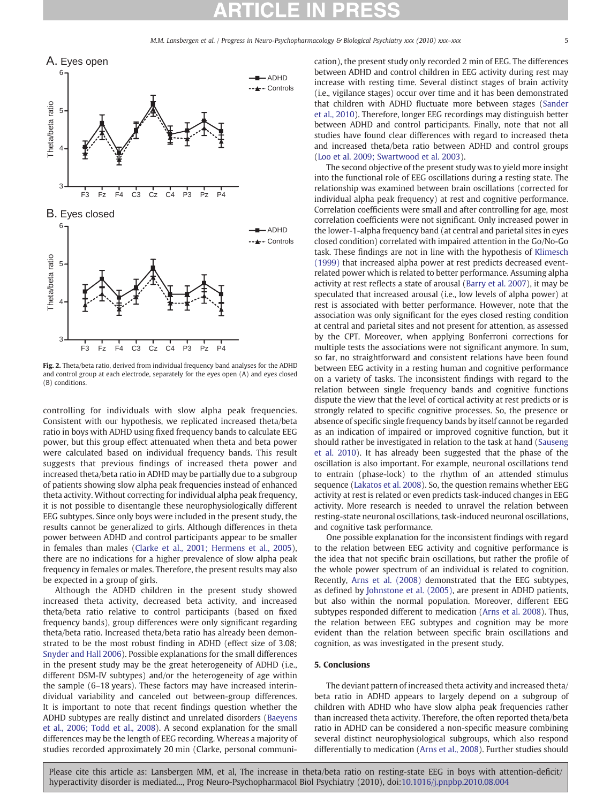M.M. Lansbergen et al. / Progress in Neuro-Psychopharmacology & Biological Psychiatry xxx (2010) xxx-xxx

<span id="page-4-0"></span>

Fig. 2. Theta/beta ratio, derived from individual frequency band analyses for the ADHD and control group at each electrode, separately for the eyes open (A) and eyes closed (B) conditions.

controlling for individuals with slow alpha peak frequencies. Consistent with our hypothesis, we replicated increased theta/beta ratio in boys with ADHD using fixed frequency bands to calculate EEG power, but this group effect attenuated when theta and beta power were calculated based on individual frequency bands. This result suggests that previous findings of increased theta power and increased theta/beta ratio in ADHD may be partially due to a subgroup of patients showing slow alpha peak frequencies instead of enhanced theta activity. Without correcting for individual alpha peak frequency, it is not possible to disentangle these neurophysiologically different EEG subtypes. Since only boys were included in the present study, the results cannot be generalized to girls. Although differences in theta power between ADHD and control participants appear to be smaller in females than males ([Clarke et al., 2001; Hermens et al., 2005](#page-5-0)), there are no indications for a higher prevalence of slow alpha peak frequency in females or males. Therefore, the present results may also be expected in a group of girls.

Although the ADHD children in the present study showed increased theta activity, decreased beta activity, and increased theta/beta ratio relative to control participants (based on fixed frequency bands), group differences were only significant regarding theta/beta ratio. Increased theta/beta ratio has already been demonstrated to be the most robust finding in ADHD (effect size of 3.08; [Snyder and Hall 2006\)](#page-5-0). Possible explanations for the small differences in the present study may be the great heterogeneity of ADHD (i.e., different DSM-IV subtypes) and/or the heterogeneity of age within the sample (6–18 years). These factors may have increased interindividual variability and canceled out between-group differences. It is important to note that recent findings question whether the ADHD subtypes are really distinct and unrelated disorders ([Baeyens](#page-5-0) [et al., 2006; Todd et al., 2008\)](#page-5-0). A second explanation for the small differences may be the length of EEG recording. Whereas a majority of studies recorded approximately 20 min (Clarke, personal communication), the present study only recorded 2 min of EEG. The differences between ADHD and control children in EEG activity during rest may increase with resting time. Several distinct stages of brain activity (i.e., vigilance stages) occur over time and it has been demonstrated that children with ADHD fluctuate more between stages [\(Sander](#page-5-0) [et al., 2010](#page-5-0)). Therefore, longer EEG recordings may distinguish better between ADHD and control participants. Finally, note that not all studies have found clear differences with regard to increased theta and increased theta/beta ratio between ADHD and control groups [\(Loo et al. 2009; Swartwood et al. 2003\)](#page-5-0).

The second objective of the present study was to yield more insight into the functional role of EEG oscillations during a resting state. The relationship was examined between brain oscillations (corrected for individual alpha peak frequency) at rest and cognitive performance. Correlation coefficients were small and after controlling for age, most correlation coefficients were not significant. Only increased power in the lower-1-alpha frequency band (at central and parietal sites in eyes closed condition) correlated with impaired attention in the Go/No-Go task. These findings are not in line with the hypothesis of [Klimesch](#page-5-0) [\(1999\)](#page-5-0) that increased alpha power at rest predicts decreased eventrelated power which is related to better performance. Assuming alpha activity at rest reflects a state of arousal ([Barry et al. 2007](#page-5-0)), it may be speculated that increased arousal (i.e., low levels of alpha power) at rest is associated with better performance. However, note that the association was only significant for the eyes closed resting condition at central and parietal sites and not present for attention, as assessed by the CPT. Moreover, when applying Bonferroni corrections for multiple tests the associations were not significant anymore. In sum, so far, no straightforward and consistent relations have been found between EEG activity in a resting human and cognitive performance on a variety of tasks. The inconsistent findings with regard to the relation between single frequency bands and cognitive functions dispute the view that the level of cortical activity at rest predicts or is strongly related to specific cognitive processes. So, the presence or absence of specific single frequency bands by itself cannot be regarded as an indication of impaired or improved cognitive function, but it should rather be investigated in relation to the task at hand ([Sauseng](#page-5-0) [et al. 2010\)](#page-5-0). It has already been suggested that the phase of the oscillation is also important. For example, neuronal oscillations tend to entrain (phase-lock) to the rhythm of an attended stimulus sequence ([Lakatos et al. 2008](#page-5-0)). So, the question remains whether EEG activity at rest is related or even predicts task-induced changes in EEG activity. More research is needed to unravel the relation between resting-state neuronal oscillations, task-induced neuronal oscillations, and cognitive task performance.

One possible explanation for the inconsistent findings with regard to the relation between EEG activity and cognitive performance is the idea that not specific brain oscillations, but rather the profile of the whole power spectrum of an individual is related to cognition. Recently, [Arns et al. \(2008\)](#page-5-0) demonstrated that the EEG subtypes, as defined by [Johnstone et al. \(2005\),](#page-5-0) are present in ADHD patients, but also within the normal population. Moreover, different EEG subtypes responded different to medication ([Arns et al. 2008\)](#page-5-0). Thus, the relation between EEG subtypes and cognition may be more evident than the relation between specific brain oscillations and cognition, as was investigated in the present study.

#### 5. Conclusions

The deviant pattern of increased theta activity and increased theta/ beta ratio in ADHD appears to largely depend on a subgroup of children with ADHD who have slow alpha peak frequencies rather than increased theta activity. Therefore, the often reported theta/beta ratio in ADHD can be considered a non-specific measure combining several distinct neurophysiological subgroups, which also respond differentially to medication ([Arns et al., 2008\)](#page-5-0). Further studies should